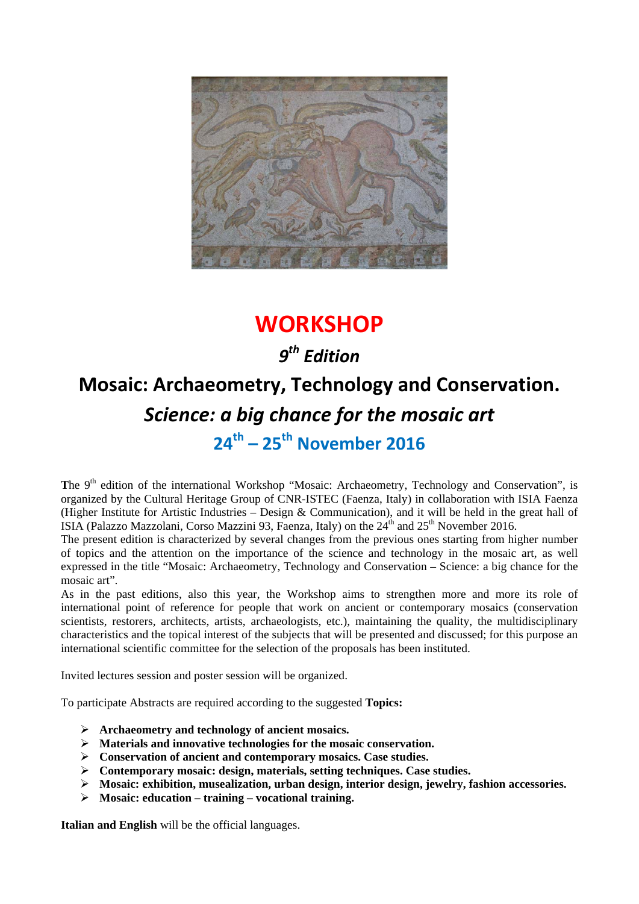

## **WORKSHOP**

### *9th Edition*

# **Mosaic: Archaeometry, Technology and Conservation.** *Science: a big chance for the mosaic art* **24th – 25th November 2016**

The 9<sup>th</sup> edition of the international Workshop "Mosaic: Archaeometry, Technology and Conservation", is organized by the Cultural Heritage Group of CNR-ISTEC (Faenza, Italy) in collaboration with ISIA Faenza (Higher Institute for Artistic Industries – Design & Communication), and it will be held in the great hall of ISIA (Palazzo Mazzolani, Corso Mazzini 93, Faenza, Italy) on the  $24<sup>th</sup>$  and  $25<sup>th</sup>$  November 2016.

The present edition is characterized by several changes from the previous ones starting from higher number of topics and the attention on the importance of the science and technology in the mosaic art, as well expressed in the title "Mosaic: Archaeometry, Technology and Conservation – Science: a big chance for the mosaic art".

As in the past editions, also this year, the Workshop aims to strengthen more and more its role of international point of reference for people that work on ancient or contemporary mosaics (conservation scientists, restorers, architects, artists, archaeologists, etc.), maintaining the quality, the multidisciplinary characteristics and the topical interest of the subjects that will be presented and discussed; for this purpose an international scientific committee for the selection of the proposals has been instituted.

Invited lectures session and poster session will be organized.

To participate Abstracts are required according to the suggested **Topics:**

- **Archaeometry and technology of ancient mosaics.**
- **Materials and innovative technologies for the mosaic conservation.**
- **Conservation of ancient and contemporary mosaics. Case studies.**
- **Contemporary mosaic: design, materials, setting techniques. Case studies.**
- **Mosaic: exhibition, musealization, urban design, interior design, jewelry, fashion accessories.**
- **Mosaic: education training vocational training.**

**Italian and English** will be the official languages.